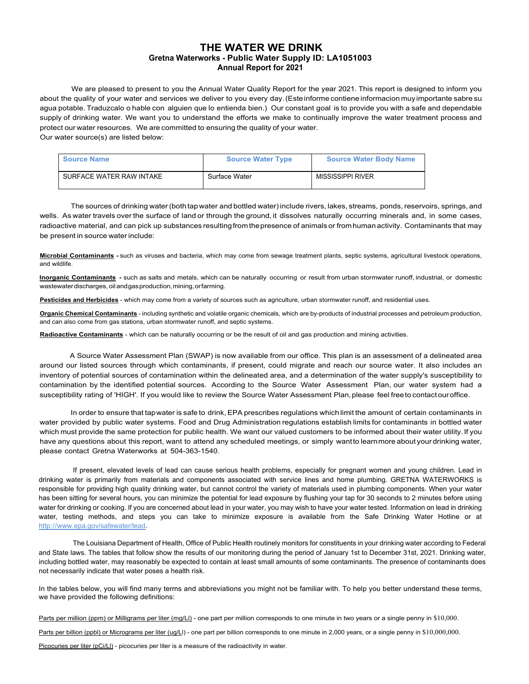## **THE WATER WE DRINK Gretna Waterworks - Public Water Supply ID: LA1051003 Annual Report for 2021**

We are pleased to present to you the Annual Water Quality Report for the year 2021. This report is designed to inform you about the quality of your water and services we deliver to you every day. (Este informe contiene informacion muy importante sabre su agua potable. Traduzcalo o hable con alguien que lo entienda bien.) Our constant goal is to provide you with a safe and dependable supply of drinking water. We want you to understand the efforts we make to continually improve the water treatment process and protect our water resources. We are committed to ensuring the quality of your water. Our water source(s) are listed below:

| <b>Source Name</b>       | <b>Source Water Type</b> | <b>Source Water Body Name</b> |
|--------------------------|--------------------------|-------------------------------|
| SURFACE WATER RAW INTAKE | Surface Water            | MISSISSIPPI RIVER             |

The sources of drinking water (both tap water and bottled water) include rivers, lakes, streams, ponds, reservoirs, springs, and wells. As water travels over the surface of land or through the ground, it dissolves naturally occurring minerals and, in some cases, radioactive material, and can pick up substances resulting from the presence of animals or from human activity. Contaminants that may be present in source water include:

**Microbial Contaminants -** such as viruses and bacteria, which may come from sewage treatment plants, septic systems, agricultural livestock operations, and wildlife.

**Inorganic Contaminants -** such as salts and metals, which can be naturally occurring or result from urban stormwater runoff, industrial, or domestic wastewater discharges, oil and gas production, mining, or farming.

Pesticides and Herbicides - which may come from a variety of sources such as agriculture, urban stormwater runoff, and residential uses.

**Organic Chemical Contaminants** - including synthetic and volatile organic chemicals, which are by-products of industrial processes and petroleum production, and can also come from gas stations, urban stormwater runoff, and septic systems.

**Radioactive Contaminants** - which can be naturally occurring or be the result of oil and gas production and mining activities.

A Source Water Assessment Plan (SWAP) is now available from our office. This plan is an assessment of a delineated area around our listed sources through which contaminants, if present, could migrate and reach our source water. It also includes an inventory of potential sources of contamination within the delineated area, and a determination of the water supply's susceptibility to contamination by the identified potential sources. According to the Source Water Assessment Plan, our water system had a susceptibility rating of 'HIGH'. If you would like to review the Source Water Assessment Plan, please feel free to contact our office.

In order to ensure that tap water is safe to drink, EPA prescribes regulations which limit the amount of certain contaminants in water provided by public water systems. Food and Drug Administration regulations establish limits for contaminants in bottled water which must provide the same protection for public health. We want our valued customers to be informed about their water utility. If you have any questions about this report, want to attend any scheduled meetings, or simply want to learn more about your drinking water, please contact Gretna Waterworks at 504-363-1540.

If present, elevated levels of lead can cause serious health problems, especially for pregnant women and young children. Lead in drinking water is primarily from materials and components associated with service lines and home plumbing. GRETNA WATERWORKS is responsible for providing high quality drinking water, but cannot control the variety of materials used in plumbing components. When your water has been sitting for several hours, you can minimize the potential for lead exposure by flushing your tap for 30 seconds to 2 minutes before using water for drinking or cooking. If you are concerned about lead in your water, you may wish to have your water tested. Information on lead in drinking water, testing methods, and steps you can take to minimize exposure is available from the Safe Drinking Water Hotline or at http://www.epa.gov/safewater/lead.

The Louisiana Department of Health, Office of Public Health routinely monitors for constituents in your drinking water according to Federal and State laws. The tables that follow show the results of our monitoring during the period of January 1st to December 31st, 2021. Drinking water, including bottled water, may reasonably be expected to contain at least small amounts of some contaminants. The presence of contaminants does not necessarily indicate that water poses a health risk.

In the tables below, you will find many terms and abbreviations you might not be familiar with. To help you better understand these terms, we have provided the following definitions:

Parts per million (ppm) or Milligrams per liter (mg/LI) - one part per million corresponds to one minute in two years or a single penny in \$10,000.

Parts per billion (ppbl) or Micrograms per liter (ug/LI) - one part per billion corresponds to one minute in 2,000 years, or a single penny in \$10,000,000.

Picocuries per liter (pCi/Ll) - picocuries per liter is a measure of the radioactivity in water.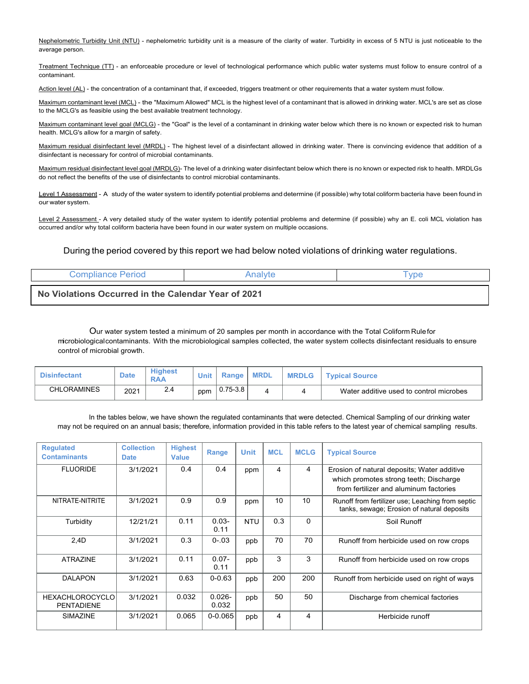Nephelometric Turbidity Unit (NTU) - nephelometric turbidity unit is a measure of the clarity of water. Turbidity in excess of 5 NTU is just noticeable to the average person.

Treatment Technique (TT) - an enforceable procedure or level of technological performance which public water systems must follow to ensure control of a contaminant.

Action level (AL) - the concentration of a contaminant that, if exceeded, triggers treatment or other requirements that a water system must follow.

Maximum contaminant level (MCL) - the "Maximum Allowed" MCL is the highest level of a contaminant that is allowed in drinking water. MCL's are set as close to the MCLG's as feasible using the best available treatment technology.

Maximum contaminant level goal (MCLG) - the "Goal" is the level of a contaminant in drinking water below which there is no known or expected risk to human health. MCLG's allow for a margin of safety.

Maximum residual disinfectant level (MRDL) - The highest level of a disinfectant allowed in drinking water. There is convincing evidence that addition of a disinfectant is necessary for control of microbial contaminants.

Maximum residual disinfectant level goal (MRDLG)- The level of a drinking water disinfectant below which there is no known or expected risk to health. MRDLGs do not reflect the benefits of the use of disinfectants to control microbial contaminants.

Level 1 Assessment - A study of the water system to identify potential problems and determine (if possible) why total coliform bacteria have been found in our water system.

Level 2 Assessment - A very detailed study of the water system to identify potential problems and determine (if possible) why an E. coli MCL violation has occurred and/or why total coliform bacteria have been found in our water system on multiple occasions.

## During the period covered by this report we had below noted violations of drinking water regulations.

| Compliance Period                                   | Analvte | <b>vpe</b> |
|-----------------------------------------------------|---------|------------|
| No Violations Occurred in the Calendar Year of 2021 |         |            |

Our water system tested a minimum of 20 samples per month in accordance with the Total Coliform Rule for microbiological contaminants. With the microbiological samples collected, the water system collects disinfectant residuals to ensure control of microbial growth.

| <b>Disinfectant</b> | <b>Date</b> | <b>Highest</b><br><b>RAA</b> | Unit | Range        | <b>MRDL</b> | <b>MRDLG</b> | <b>Typical Source</b>                   |
|---------------------|-------------|------------------------------|------|--------------|-------------|--------------|-----------------------------------------|
| <b>CHLORAMINES</b>  | 2021        | 2.4                          | ppm  | $0.75 - 3.8$ |             |              | Water additive used to control microbes |

In the tables below, we have shown the regulated contaminants that were detected. Chemical Sampling of our drinking water may not be required on an annual basis; therefore, information provided in this table refers to the latest year of chemical sampling results.

| <b>Regulated</b><br><b>Contaminants</b>     | <b>Collection</b><br><b>Date</b> | <b>Highest</b><br><b>Value</b> | Range              | <b>Unit</b> | <b>MCL</b> | <b>MCLG</b> | <b>Typical Source</b>                                                                                                           |
|---------------------------------------------|----------------------------------|--------------------------------|--------------------|-------------|------------|-------------|---------------------------------------------------------------------------------------------------------------------------------|
| <b>FLUORIDE</b>                             | 3/1/2021                         | 0.4                            | 0.4                | ppm         | 4          | 4           | Erosion of natural deposits; Water additive<br>which promotes strong teeth; Discharge<br>from fertilizer and aluminum factories |
| NITRATE-NITRITE                             | 3/1/2021                         | 0.9                            | 0.9                | ppm         | 10         | 10          | Runoff from fertilizer use; Leaching from septic<br>tanks, sewage; Erosion of natural deposits                                  |
| Turbidity                                   | 12/21/21                         | 0.11                           | $0.03 -$<br>0.11   | <b>NTU</b>  | 0.3        | $\Omega$    | Soil Runoff                                                                                                                     |
| 2,4D                                        | 3/1/2021                         | 0.3                            | $0 - 03$           | ppb         | 70         | 70          | Runoff from herbicide used on row crops                                                                                         |
| <b>ATRAZINE</b>                             | 3/1/2021                         | 0.11                           | $0.07 -$<br>0.11   | ppb         | 3          | 3           | Runoff from herbicide used on row crops                                                                                         |
| <b>DALAPON</b>                              | 3/1/2021                         | 0.63                           | $0 - 0.63$         | ppb         | 200        | 200         | Runoff from herbicide used on right of ways                                                                                     |
| <b>HEXACHLOROCYCLO</b><br><b>PENTADIENE</b> | 3/1/2021                         | 0.032                          | $0.026 -$<br>0.032 | ppb         | 50         | 50          | Discharge from chemical factories                                                                                               |
| <b>SIMAZINE</b>                             | 3/1/2021                         | 0.065                          | $0 - 0.065$        | ppb         | 4          | 4           | Herbicide runoff                                                                                                                |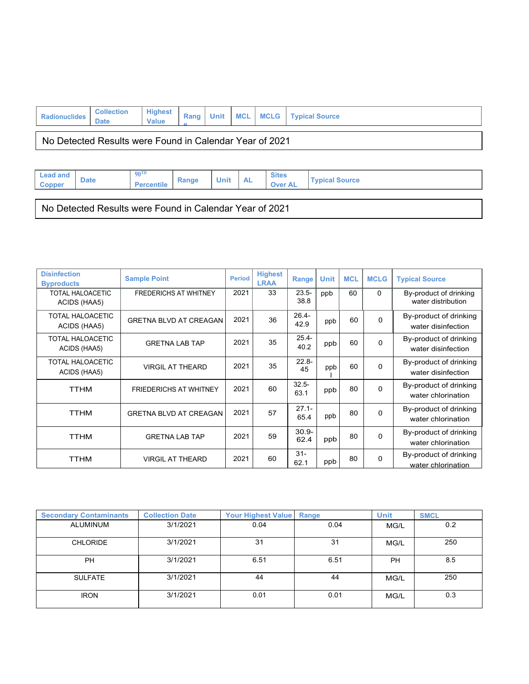| <b>Radionuclides</b>                                    | <b>Collection</b><br><b>Date</b> | <b>Highest</b><br><b>Value</b> | Rang |  |  |  | Unit   MCL   MCLG   Typical Source |  |  |
|---------------------------------------------------------|----------------------------------|--------------------------------|------|--|--|--|------------------------------------|--|--|
| No Detected Results were Found in Calendar Year of 2021 |                                  |                                |      |  |  |  |                                    |  |  |
|                                                         |                                  |                                |      |  |  |  |                                    |  |  |

| <b>Lead and</b><br>Copper                               | <b>Date</b> | $90^{\text{TH}}$<br><b>Percentile</b> | Range | <b>Unit</b> | <b>AL</b> | <b>Sites</b><br><b>Over AL</b> | <b>Typical Source</b> |  |
|---------------------------------------------------------|-------------|---------------------------------------|-------|-------------|-----------|--------------------------------|-----------------------|--|
|                                                         |             |                                       |       |             |           |                                |                       |  |
| No Detected Results were Found in Calendar Year of 2021 |             |                                       |       |             |           |                                |                       |  |

| <b>Disinfection</b><br><b>Byproducts</b> | <b>Sample Point</b>           | <b>Period</b> | <b>Highest</b><br><b>LRAA</b> | Range            | <b>Unit</b> | <b>MCL</b> | <b>MCLG</b> | <b>Typical Source</b>                        |
|------------------------------------------|-------------------------------|---------------|-------------------------------|------------------|-------------|------------|-------------|----------------------------------------------|
| <b>TOTAL HALOACETIC</b><br>ACIDS (HAA5)  | <b>FREDERICHS AT WHITNEY</b>  | 2021          | 33                            | $23.5 -$<br>38.8 | ppb         | 60         | $\Omega$    | By-product of drinking<br>water distribution |
| <b>TOTAL HALOACETIC</b><br>ACIDS (HAA5)  | <b>GRETNA BLVD AT CREAGAN</b> | 2021          | 36                            | $26.4 -$<br>42.9 | ppb         | 60         | $\Omega$    | By-product of drinking<br>water disinfection |
| TOTAL HALOACETIC<br>ACIDS (HAA5)         | <b>GRETNA LAB TAP</b>         | 2021          | 35                            | $25.4 -$<br>40.2 | ppb         | 60         | $\Omega$    | By-product of drinking<br>water disinfection |
| <b>TOTAL HALOACETIC</b><br>ACIDS (HAA5)  | <b>VIRGIL AT THEARD</b>       | 2021          | 35                            | $22.8 -$<br>45   | ppb         | 60         | $\Omega$    | By-product of drinking<br>water disinfection |
| <b>TTHM</b>                              | <b>FRIEDERICHS AT WHITNEY</b> | 2021          | 60                            | $32.5 -$<br>63.1 | ppb         | 80         | $\Omega$    | By-product of drinking<br>water chlorination |
| <b>TTHM</b>                              | <b>GRETNA BLVD AT CREAGAN</b> | 2021          | 57                            | $27.1 -$<br>65.4 | ppb         | 80         | 0           | By-product of drinking<br>water chlorination |
| <b>TTHM</b>                              | <b>GRETNA LAB TAP</b>         | 2021          | 59                            | $30.9 -$<br>62.4 | ppb         | 80         | $\Omega$    | By-product of drinking<br>water chlorination |
| ттнм                                     | <b>VIRGIL AT THEARD</b>       | 2021          | 60                            | $31 -$<br>62.1   | ppb         | 80         | $\Omega$    | By-product of drinking<br>water chlorination |

| <b>Secondary Contaminants</b> | <b>Collection Date</b> | <b>Your Highest Value</b> | Range | <b>Unit</b> | <b>SMCL</b> |
|-------------------------------|------------------------|---------------------------|-------|-------------|-------------|
| ALUMINUM                      | 3/1/2021               | 0.04                      | 0.04  | MG/L        | 0.2         |
| <b>CHLORIDE</b>               | 3/1/2021               | 31                        | 31    | MG/L        | 250         |
| <b>PH</b>                     | 3/1/2021               | 6.51                      | 6.51  | PH          | 8.5         |
| <b>SULFATE</b>                | 3/1/2021               | 44                        | 44    | MG/L        | 250         |
| <b>IRON</b>                   | 3/1/2021               | 0.01                      | 0.01  | MG/L        | 0.3         |